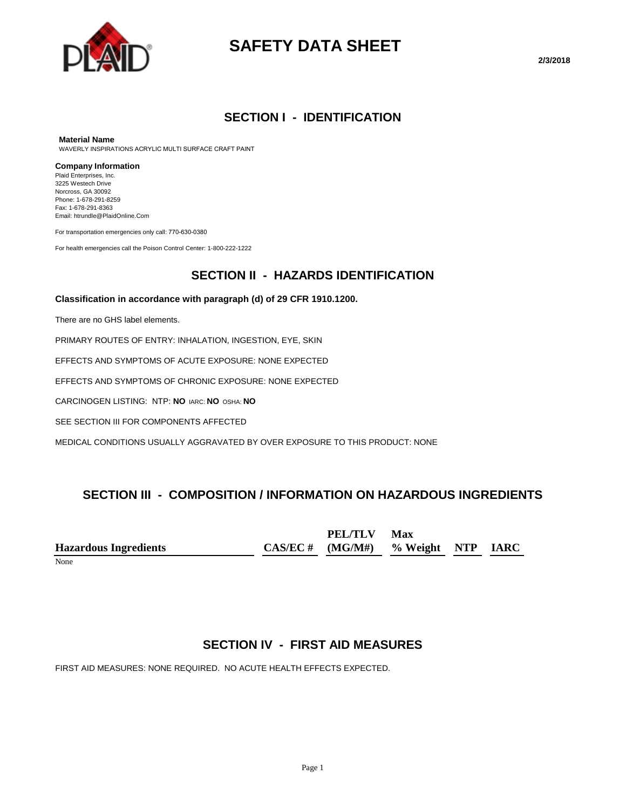

# **SAFETY DATA SHEET**

**2/3/2018**

# **SECTION I - IDENTIFICATION**

#### **Material Name**

WAVERLY INSPIRATIONS ACRYLIC MULTI SURFACE CRAFT PAINT

#### **Company Information**

Plaid Enterprises, Inc. 3225 Westech Drive Norcross, GA 30092 Phone: 1-678-291-8259 Fax: 1-678-291-8363 Email: htrundle@PlaidOnline.Com

For transportation emergencies only call: 770-630-0380

For health emergencies call the Poison Control Center: 1-800-222-1222

### **SECTION II - HAZARDS IDENTIFICATION**

#### **Classification in accordance with paragraph (d) of 29 CFR 1910.1200.**

There are no GHS label elements.

PRIMARY ROUTES OF ENTRY: INHALATION, INGESTION, EYE, SKIN

EFFECTS AND SYMPTOMS OF ACUTE EXPOSURE: NONE EXPECTED

EFFECTS AND SYMPTOMS OF CHRONIC EXPOSURE: NONE EXPECTED

CARCINOGEN LISTING: NTP: **NO** IARC: **NO** OSHA: **NO**

SEE SECTION III FOR COMPONENTS AFFECTED

MEDICAL CONDITIONS USUALLY AGGRAVATED BY OVER EXPOSURE TO THIS PRODUCT: NONE

# **SECTION III - COMPOSITION / INFORMATION ON HAZARDOUS INGREDIENTS**

**Hazardous Ingredients CAS/EC # PEL/TLV (MG/M#) Max % Weight NTP IARC**

None

# **SECTION IV - FIRST AID MEASURES**

FIRST AID MEASURES: NONE REQUIRED. NO ACUTE HEALTH EFFECTS EXPECTED.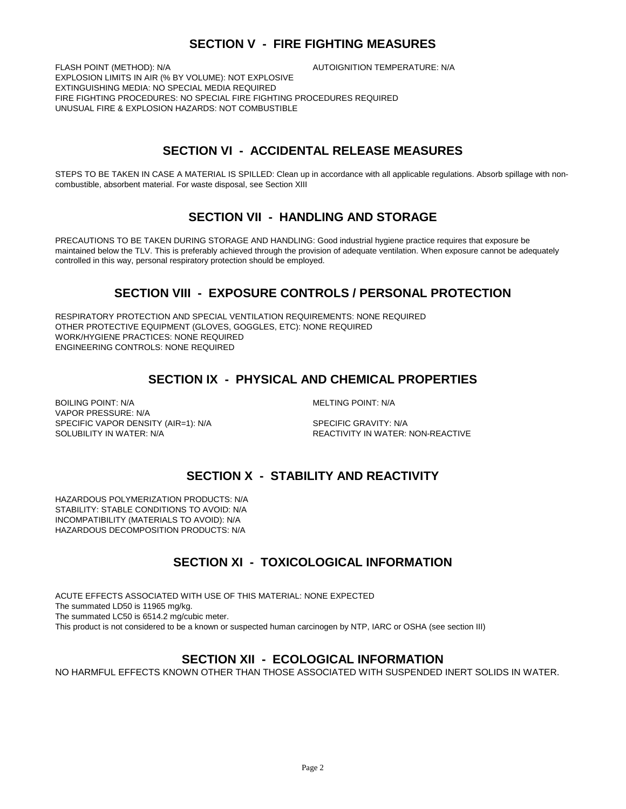# **SECTION V - FIRE FIGHTING MEASURES**

FLASH POINT (METHOD): N/A  $\overline{A}$  autoignition temperature: N/A EXPLOSION LIMITS IN AIR (% BY VOLUME): NOT EXPLOSIVE EXTINGUISHING MEDIA: NO SPECIAL MEDIA REQUIRED FIRE FIGHTING PROCEDURES: NO SPECIAL FIRE FIGHTING PROCEDURES REQUIRED UNUSUAL FIRE & EXPLOSION HAZARDS: NOT COMBUSTIBLE

# **SECTION VI - ACCIDENTAL RELEASE MEASURES**

STEPS TO BE TAKEN IN CASE A MATERIAL IS SPILLED: Clean up in accordance with all applicable regulations. Absorb spillage with noncombustible, absorbent material. For waste disposal, see Section XIII

# **SECTION VII - HANDLING AND STORAGE**

PRECAUTIONS TO BE TAKEN DURING STORAGE AND HANDLING: Good industrial hygiene practice requires that exposure be maintained below the TLV. This is preferably achieved through the provision of adequate ventilation. When exposure cannot be adequately controlled in this way, personal respiratory protection should be employed.

# **SECTION VIII - EXPOSURE CONTROLS / PERSONAL PROTECTION**

RESPIRATORY PROTECTION AND SPECIAL VENTILATION REQUIREMENTS: NONE REQUIRED OTHER PROTECTIVE EQUIPMENT (GLOVES, GOGGLES, ETC): NONE REQUIRED WORK/HYGIENE PRACTICES: NONE REQUIRED ENGINEERING CONTROLS: NONE REQUIRED

# **SECTION IX - PHYSICAL AND CHEMICAL PROPERTIES**

BOILING POINT: N/A GENERAL MELTING POINT: N/A VAPOR PRESSURE: N/A SPECIFIC VAPOR DENSITY (AIR=1): N/A SPECIFIC GRAVITY: N/A SOLUBILITY IN WATER: N/A REACTIVITY IN WATER: NON-REACTIVE

# **SECTION X - STABILITY AND REACTIVITY**

HAZARDOUS POLYMERIZATION PRODUCTS: N/A STABILITY: STABLE CONDITIONS TO AVOID: N/A INCOMPATIBILITY (MATERIALS TO AVOID): N/A HAZARDOUS DECOMPOSITION PRODUCTS: N/A

# **SECTION XI - TOXICOLOGICAL INFORMATION**

ACUTE EFFECTS ASSOCIATED WITH USE OF THIS MATERIAL: NONE EXPECTED The summated LD50 is 11965 mg/kg. The summated LC50 is 6514.2 mg/cubic meter. This product is not considered to be a known or suspected human carcinogen by NTP, IARC or OSHA (see section III)

# **SECTION XII - ECOLOGICAL INFORMATION**

NO HARMFUL EFFECTS KNOWN OTHER THAN THOSE ASSOCIATED WITH SUSPENDED INERT SOLIDS IN WATER.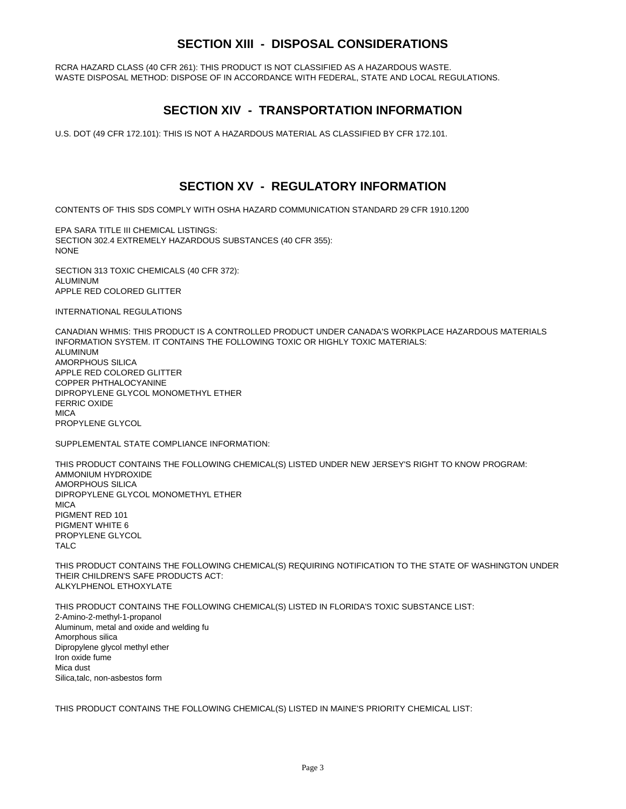# **SECTION XIII - DISPOSAL CONSIDERATIONS**

RCRA HAZARD CLASS (40 CFR 261): THIS PRODUCT IS NOT CLASSIFIED AS A HAZARDOUS WASTE. WASTE DISPOSAL METHOD: DISPOSE OF IN ACCORDANCE WITH FEDERAL, STATE AND LOCAL REGULATIONS.

### **SECTION XIV - TRANSPORTATION INFORMATION**

U.S. DOT (49 CFR 172.101): THIS IS NOT A HAZARDOUS MATERIAL AS CLASSIFIED BY CFR 172.101.

### **SECTION XV - REGULATORY INFORMATION**

CONTENTS OF THIS SDS COMPLY WITH OSHA HAZARD COMMUNICATION STANDARD 29 CFR 1910.1200

EPA SARA TITLE III CHEMICAL LISTINGS: SECTION 302.4 EXTREMELY HAZARDOUS SUBSTANCES (40 CFR 355): NONE

SECTION 313 TOXIC CHEMICALS (40 CFR 372): ALUMINUM APPLE RED COLORED GLITTER

INTERNATIONAL REGULATIONS

CANADIAN WHMIS: THIS PRODUCT IS A CONTROLLED PRODUCT UNDER CANADA'S WORKPLACE HAZARDOUS MATERIALS INFORMATION SYSTEM. IT CONTAINS THE FOLLOWING TOXIC OR HIGHLY TOXIC MATERIALS: ALUMINUM AMORPHOUS SILICA APPLE RED COLORED GLITTER COPPER PHTHALOCYANINE DIPROPYLENE GLYCOL MONOMETHYL ETHER FERRIC OXIDE **MICA** PROPYLENE GLYCOL

SUPPLEMENTAL STATE COMPLIANCE INFORMATION:

THIS PRODUCT CONTAINS THE FOLLOWING CHEMICAL(S) LISTED UNDER NEW JERSEY'S RIGHT TO KNOW PROGRAM: AMMONIUM HYDROXIDE AMORPHOUS SILICA DIPROPYLENE GLYCOL MONOMETHYL ETHER **MICA** PIGMENT RED 101 PIGMENT WHITE 6 PROPYLENE GLYCOL TALC

THIS PRODUCT CONTAINS THE FOLLOWING CHEMICAL(S) REQUIRING NOTIFICATION TO THE STATE OF WASHINGTON UNDER THEIR CHILDREN'S SAFE PRODUCTS ACT: ALKYLPHENOL ETHOXYLATE

THIS PRODUCT CONTAINS THE FOLLOWING CHEMICAL(S) LISTED IN FLORIDA'S TOXIC SUBSTANCE LIST: 2-Amino-2-methyl-1-propanol Aluminum, metal and oxide and welding fu Amorphous silica Dipropylene glycol methyl ether Iron oxide fume Mica dust Silica,talc, non-asbestos form

THIS PRODUCT CONTAINS THE FOLLOWING CHEMICAL(S) LISTED IN MAINE'S PRIORITY CHEMICAL LIST: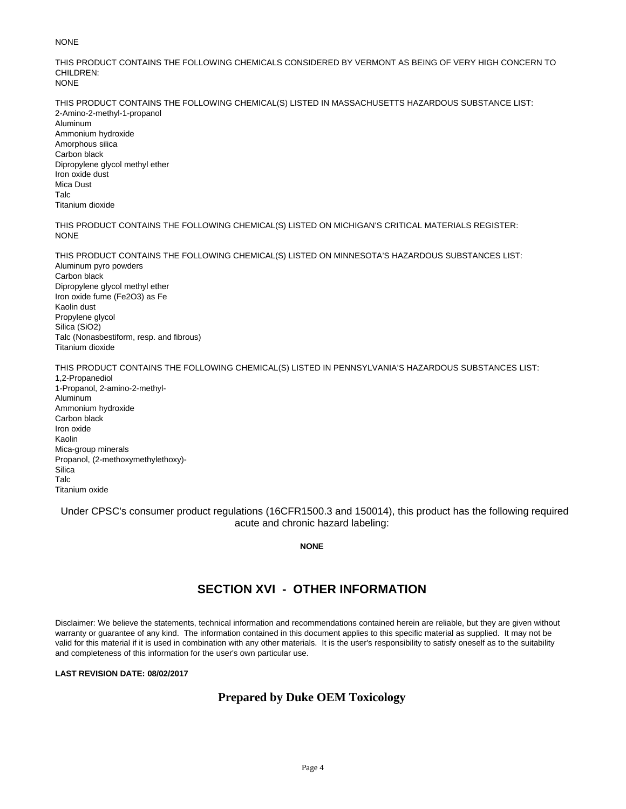#### NONE

THIS PRODUCT CONTAINS THE FOLLOWING CHEMICALS CONSIDERED BY VERMONT AS BEING OF VERY HIGH CONCERN TO CHILDREN: NONE

THIS PRODUCT CONTAINS THE FOLLOWING CHEMICAL(S) LISTED IN MASSACHUSETTS HAZARDOUS SUBSTANCE LIST: 2-Amino-2-methyl-1-propanol Aluminum Ammonium hydroxide Amorphous silica Carbon black Dipropylene glycol methyl ether Iron oxide dust Mica Dust Talc Titanium dioxide

THIS PRODUCT CONTAINS THE FOLLOWING CHEMICAL(S) LISTED ON MICHIGAN'S CRITICAL MATERIALS REGISTER: NONE

THIS PRODUCT CONTAINS THE FOLLOWING CHEMICAL(S) LISTED ON MINNESOTA'S HAZARDOUS SUBSTANCES LIST: Aluminum pyro powders Carbon black Dipropylene glycol methyl ether Iron oxide fume (Fe2O3) as Fe Kaolin dust Propylene glycol Silica (SiO2) Talc (Nonasbestiform, resp. and fibrous) Titanium dioxide THIS PRODUCT CONTAINS THE FOLLOWING CHEMICAL(S) LISTED IN PENNSYLVANIA'S HAZARDOUS SUBSTANCES LIST:

1,2-Propanediol 1-Propanol, 2-amino-2-methyl-Aluminum Ammonium hydroxide Carbon black Iron oxide Kaolin Mica-group minerals Propanol, (2-methoxymethylethoxy)- **Silica** Talc Titanium oxide

Under CPSC's consumer product regulations (16CFR1500.3 and 150014), this product has the following required acute and chronic hazard labeling:

**NONE**

# **SECTION XVI - OTHER INFORMATION**

Disclaimer: We believe the statements, technical information and recommendations contained herein are reliable, but they are given without warranty or guarantee of any kind. The information contained in this document applies to this specific material as supplied. It may not be valid for this material if it is used in combination with any other materials. It is the user's responsibility to satisfy oneself as to the suitability and completeness of this information for the user's own particular use.

#### **LAST REVISION DATE: 08/02/2017**

### **Prepared by Duke OEM Toxicology**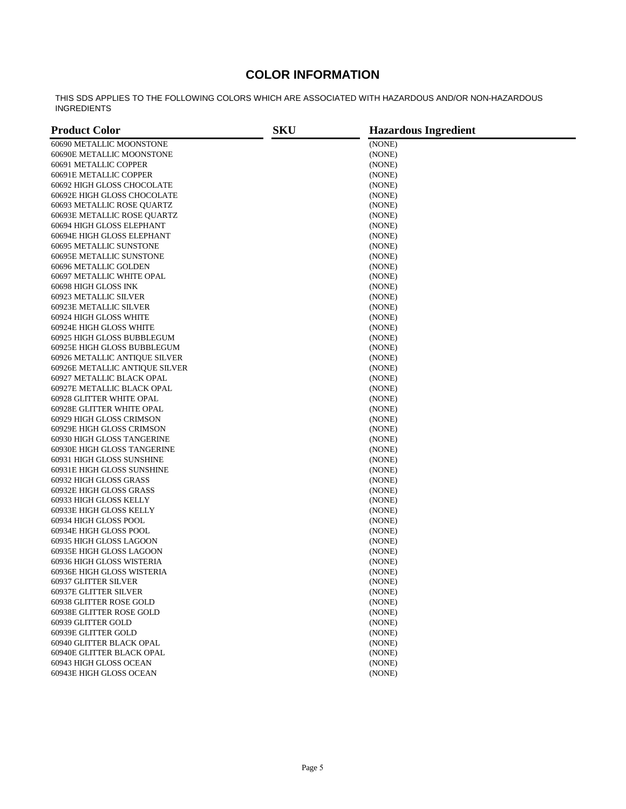# **COLOR INFORMATION**

THIS SDS APPLIES TO THE FOLLOWING COLORS WHICH ARE ASSOCIATED WITH HAZARDOUS AND/OR NON-HAZARDOUS INGREDIENTS

| <b>Product Color</b>             | <b>SKU</b> | <b>Hazardous Ingredient</b> |  |
|----------------------------------|------------|-----------------------------|--|
| 60690 METALLIC MOONSTONE         |            | (NONE)                      |  |
| 60690E METALLIC MOONSTONE        |            | (NONE)                      |  |
| 60691 METALLIC COPPER            |            | (NONE)                      |  |
| 60691E METALLIC COPPER           |            | (NONE)                      |  |
| 60692 HIGH GLOSS CHOCOLATE       |            | (NONE)                      |  |
| 60692E HIGH GLOSS CHOCOLATE      |            | (NONE)                      |  |
| 60693 METALLIC ROSE QUARTZ       |            | (NONE)                      |  |
| 60693E METALLIC ROSE QUARTZ      |            | (NONE)                      |  |
| 60694 HIGH GLOSS ELEPHANT        |            | (NONE)                      |  |
| 60694E HIGH GLOSS ELEPHANT       |            | (NONE)                      |  |
| 60695 METALLIC SUNSTONE          |            | (NONE)                      |  |
| 60695E METALLIC SUNSTONE         |            | (NONE)                      |  |
|                                  |            |                             |  |
| 60696 METALLIC GOLDEN            |            | (NONE)                      |  |
| 60697 METALLIC WHITE OPAL        |            | (NONE)                      |  |
| 60698 HIGH GLOSS INK             |            | (NONE)                      |  |
| 60923 METALLIC SILVER            |            | (NONE)                      |  |
| 60923E METALLIC SILVER           |            | (NONE)                      |  |
| 60924 HIGH GLOSS WHITE           |            | (NONE)                      |  |
| 60924E HIGH GLOSS WHITE          |            | (NONE)                      |  |
| 60925 HIGH GLOSS BUBBLEGUM       |            | (NONE)                      |  |
| 60925E HIGH GLOSS BUBBLEGUM      |            | (NONE)                      |  |
| 60926 METALLIC ANTIQUE SILVER    |            | (NONE)                      |  |
| 60926E METALLIC ANTIQUE SILVER   |            | (NONE)                      |  |
| 60927 METALLIC BLACK OPAL        |            | (NONE)                      |  |
| 60927E METALLIC BLACK OPAL       |            | (NONE)                      |  |
| 60928 GLITTER WHITE OPAL         |            | (NONE)                      |  |
| <b>60928E GLITTER WHITE OPAL</b> |            | (NONE)                      |  |
| 60929 HIGH GLOSS CRIMSON         |            | (NONE)                      |  |
| 60929E HIGH GLOSS CRIMSON        |            | (NONE)                      |  |
| 60930 HIGH GLOSS TANGERINE       |            | (NONE)                      |  |
| 60930E HIGH GLOSS TANGERINE      |            | (NONE)                      |  |
| 60931 HIGH GLOSS SUNSHINE        |            | (NONE)                      |  |
| 60931E HIGH GLOSS SUNSHINE       |            | (NONE)                      |  |
| 60932 HIGH GLOSS GRASS           |            | (NONE)                      |  |
| 60932E HIGH GLOSS GRASS          |            | (NONE)                      |  |
| 60933 HIGH GLOSS KELLY           |            | (NONE)                      |  |
| 60933E HIGH GLOSS KELLY          |            | (NONE)                      |  |
| 60934 HIGH GLOSS POOL            |            | (NONE)                      |  |
| 60934E HIGH GLOSS POOL           |            | (NONE)                      |  |
| 60935 HIGH GLOSS LAGOON          |            | (NONE)                      |  |
| 60935E HIGH GLOSS LAGOON         |            | (NONE)                      |  |
| 60936 HIGH GLOSS WISTERIA        |            | (NONE)                      |  |
| 60936E HIGH GLOSS WISTERIA       |            | (NONE)                      |  |
| 60937 GLITTER SILVER             |            | (NONE)                      |  |
| <b>60937E GLITTER SILVER</b>     |            | (NONE)                      |  |
| 60938 GLITTER ROSE GOLD          |            | (NONE)                      |  |
| 60938E GLITTER ROSE GOLD         |            | (NONE)                      |  |
| 60939 GLITTER GOLD               |            | (NONE)                      |  |
|                                  |            |                             |  |
| 60939E GLITTER GOLD              |            | (NONE)                      |  |
| <b>60940 GLITTER BLACK OPAL</b>  |            | (NONE)                      |  |
| 60940E GLITTER BLACK OPAL        |            | (NONE)                      |  |
| 60943 HIGH GLOSS OCEAN           |            | (NONE)                      |  |
| 60943E HIGH GLOSS OCEAN          |            | (NONE)                      |  |